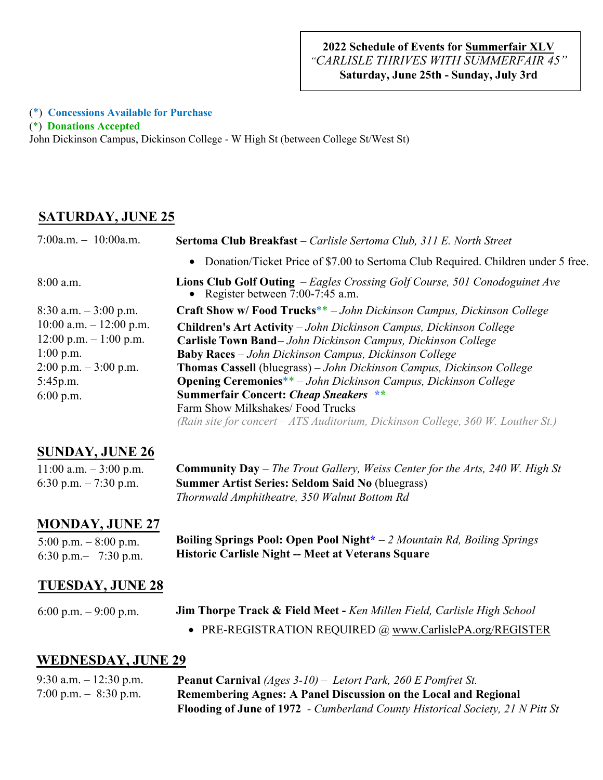#### (\*) **Concessions Available for Purchase**

(\*) **Donations Accepted**

John Dickinson Campus, Dickinson College - W High St (between College St/West St)

### **SATURDAY, JUNE 25**

| 7:00a.m. $-10:00$ a.m.                  | Sertoma Club Breakfast - Carlisle Sertoma Club, 311 E. North Street                                                      |
|-----------------------------------------|--------------------------------------------------------------------------------------------------------------------------|
|                                         | Donation/Ticket Price of \$7.00 to Sertoma Club Required. Children under 5 free.<br>$\bullet$                            |
| $8:00$ a.m.                             | <b>Lions Club Golf Outing</b> – Eagles Crossing Golf Course, 501 Conodoguinet Ave<br>• Register between $7:00-7:45$ a.m. |
| $8:30$ a.m. $-3:00$ p.m.                | Craft Show w/Food Trucks**-John Dickinson Campus, Dickinson College                                                      |
| $10:00$ a.m. $-12:00$ p.m.              | Children's Art Activity - John Dickinson Campus, Dickinson College                                                       |
| $12:00$ p.m. $-1:00$ p.m.               | Carlisle Town Band-John Dickinson Campus, Dickinson College                                                              |
| $1:00$ p.m.                             | <b>Baby Races</b> – John Dickinson Campus, Dickinson College                                                             |
| $2:00 \text{ p.m.} - 3:00 \text{ p.m.}$ | Thomas Cassell (bluegrass) - John Dickinson Campus, Dickinson College                                                    |
| 5:45p.m.                                | <b>Opening Ceremonies**</b> - John Dickinson Campus, Dickinson College                                                   |
| $6:00$ p.m.                             | <b>Summerfair Concert: Cheap Sneakers **</b>                                                                             |
|                                         | Farm Show Milkshakes/Food Trucks                                                                                         |
|                                         | (Rain site for concert – ATS Auditorium, Dickinson College, 360 W. Louther St.)                                          |
|                                         |                                                                                                                          |

## **SUNDAY, JUNE 26**

| 11:00 a.m. $-3:00$ p.m. | <b>Community Day</b> – The Trout Gallery, Weiss Center for the Arts, 240 W. High St |
|-------------------------|-------------------------------------------------------------------------------------|
| 6:30 p.m. $-7:30$ p.m.  | <b>Summer Artist Series: Seldom Said No (bluegrass)</b>                             |
|                         | Thornwald Amphitheatre, 350 Walnut Bottom Rd                                        |

### **MONDAY, JUNE 27**

5:00 p.m. – 8:00 p.m. 6:30 p.m.– 7:30 p.m.

**Boiling Springs Pool: Open Pool Night\*** – *2 Mountain Rd, Boiling Springs*  **Historic Carlisle Night -- Meet at Veterans Square**

### **TUESDAY, JUNE 28**

• PRE-REGISTRATION REQUIRED @ www.CarlislePA.org/REGISTER

### **WEDNESDAY, JUNE 29**

| 9:30 a.m. $-12:30$ p.m. | <b>Peanut Carnival</b> (Ages $3-10$ ) – Letort Park, 260 E Pomfret St.               |
|-------------------------|--------------------------------------------------------------------------------------|
| 7:00 p.m. $-$ 8:30 p.m. | Remembering Agnes: A Panel Discussion on the Local and Regional                      |
|                         | <b>Flooding of June of 1972</b> - Cumberland County Historical Society, 21 N Pitt St |